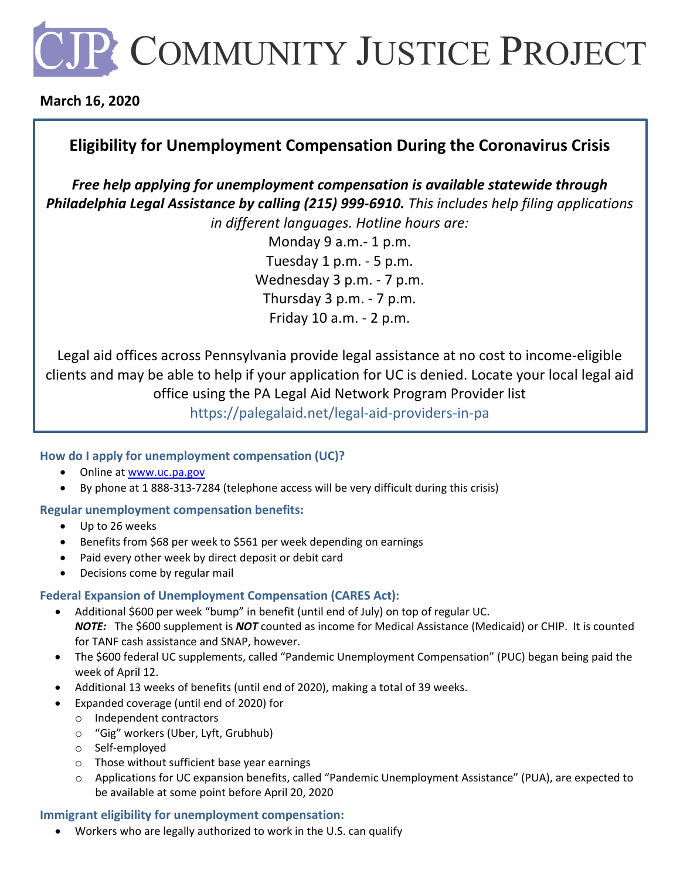# **JP COMMUNITY JUSTICE PROJECT**

### **March 16, 2020**

## **Eligibility for Unemployment Compensation During the Coronavirus Crisis**

*Free help applying for unemployment compensation is available statewide through Philadelphia Legal Assistance by calling (215) 999-6910. This includes help filing applications in different languages. Hotline hours are:*

> Monday 9 a.m.- 1 p.m. Tuesday 1 p.m. - 5 p.m. Wednesday 3 p.m. - 7 p.m. Thursday 3 p.m. - 7 p.m. Friday 10 a.m. - 2 p.m.

Legal aid offices across Pennsylvania provide legal assistance at no cost to income-eligible clients and may be able to help if your application for UC is denied. Locate your local legal aid office using the [PA Legal Aid Network](https://palegalaid.net/legal-aid-providers-in-pa) Program Provider list

https://palegalaid.net/legal-aid-providers-in-pa

#### **How do I apply for unemployment compensation (UC)?**

- Online at [www.uc.pa.gov](http://www.uc.pa.gov/)
- By phone at 1 888-313-7284 (telephone access will be very difficult during this crisis)

#### **Regular unemployment compensation benefits:**

- Up to 26 weeks
- Benefits from \$68 per week to \$561 per week depending on earnings
- Paid every other week by direct deposit or debit card
- Decisions come by regular mail

#### **Federal Expansion of Unemployment Compensation (CARES Act):**

- Additional \$600 per week "bump" in benefit (until end of July) on top of regular UC. *NOTE:* The \$600 supplement is *NOT* counted as income for Medical Assistance (Medicaid) or CHIP. It is counted for TANF cash assistance and SNAP, however.
- The \$600 federal UC supplements, called "Pandemic Unemployment Compensation" (PUC) began being paid the week of April 12.
- Additional 13 weeks of benefits (until end of 2020), making a total of 39 weeks.
- Expanded coverage (until end of 2020) for
	- o Independent contractors
	- o "Gig" workers (Uber, Lyft, Grubhub)
	- o Self-employed
	- o Those without sufficient base year earnings
	- o Applications for UC expansion benefits, called "Pandemic Unemployment Assistance" (PUA), are expected to be available at some point before April 20, 2020

#### **Immigrant eligibility for unemployment compensation:**

• Workers who are legally authorized to work in the U.S. can qualify